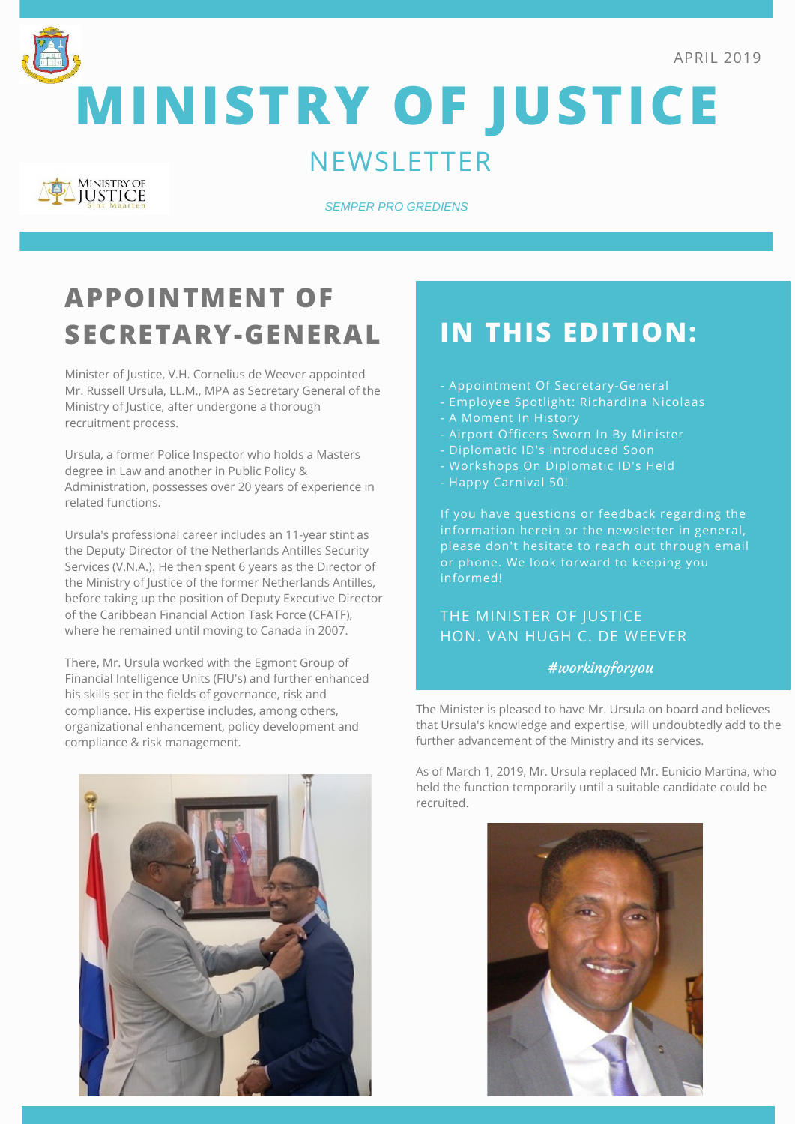



**MINISTRY OF JUSTICE**

#### **NEWSLETTER**



*SEMPER PRO GREDIENS*

# **APPOINTMENT OF SECRETARY-GENERAL**

Minister of Justice, V.H. Cornelius de Weever appointed Mr. Russell Ursula, LL.M., MPA as Secretary General of the Ministry of Justice, after undergone a thorough recruitment process.

Ursula, a former Police Inspector who holds a Masters degree in Law and another in Public Policy & Administration, possesses over 20 years of experience in related functions.

Ursula's professional career includes an 11-year stint as the Deputy Director of the Netherlands Antilles Security Services (V.N.A.). He then spent 6 years as the Director of the Ministry of Justice of the former Netherlands Antilles, before taking up the position of Deputy Executive Director of the Caribbean Financial Action Task Force (CFATF), where he remained until moving to Canada in 2007.

There, Mr. Ursula worked with the Egmont Group of Financial Intelligence Units (FIU's) and further enhanced his skills set in the fields of governance, risk and compliance. His expertise includes, among others, organizational enhancement, policy development and compliance & risk management.



### **IN THIS EDITION:**

- Appointment Of Secretary-General
- Employee Spotlight: Richardina Nicolaas
- A Moment In History
- Airport Officers Sworn In By Minister
- 
- 
- Happy Carnival 50!

If you have questions or feedback regarding the information herein or the newsletter in general, please don't hesitate to reach out through email or phone. We look forward to keeping you informed!

#### THE MINISTER OF JUSTICE HON. VAN HUGH C. DE WEEVER

#workingforyou

The Minister is pleased to have Mr. Ursula on board and believes that Ursula's knowledge and expertise, will undoubtedly add to the further advancement of the Ministry and its services.

As of March 1, 2019, Mr. Ursula replaced Mr. Eunicio Martina, who held the function temporarily until a suitable candidate could be recruited.

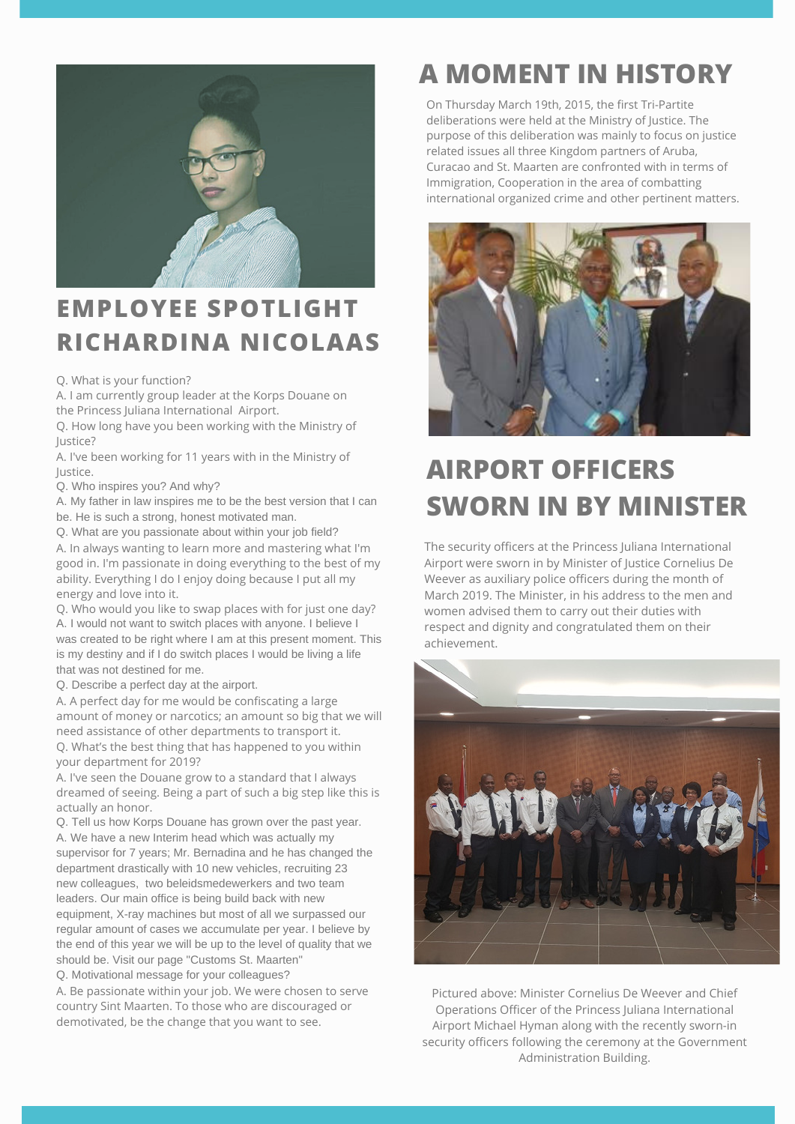

#### **EMPLOYEE SPOTLIGHT RICHARDINA NICOLAAS**

Q. What is your function?

A. I am currently group leader at the Korps Douane on the Princess Juliana International Airport.

Q. How long have you been working with the Ministry of Justice?

A. I've been working for 11 years with in the Ministry of Justice.

Q. Who inspires you? And why?

A. My father in law inspires me to be the best version that I can be. He is such a strong, honest motivated man.

Q. What are you passionate about within your job field?

A. In always wanting to learn more and mastering what I'm good in. I'm passionate in doing everything to the best of my ability. Everything I do I enjoy doing because I put all my energy and love into it.

Q. Who would you like to swap places with for just one day? A. I would not want to switch places with anyone. I believe I was created to be right where I am at this present moment. This is my destiny and if I do switch places I would be living a life that was not destined for me.

Q. Describe a perfect day at the airport.

A. A perfect day for me would be confiscating a large amount of money or narcotics; an amount so big that we will need assistance of other departments to transport it. Q. What's the best thing that has happened to you within your department for 2019?

A. I've seen the Douane grow to a standard that I always dreamed of seeing. Being a part of such a big step like this is actually an honor.

Q. Tell us how Korps Douane has grown over the past year. A. We have a new Interim head which was actually my supervisor for 7 years; Mr. Bernadina and he has changed the department drastically with 10 new vehicles, recruiting 23 new colleagues, two beleidsmedewerkers and two team leaders. Our main office is being build back with new equipment, X-ray machines but most of all we surpassed our regular amount of cases we accumulate per year. I believe by the end of this year we will be up to the level of quality that we should be. Visit our page "Customs St. Maarten" Q. Motivational message for your colleagues?

A. Be passionate within your job. We were chosen to serve country Sint Maarten. To those who are discouraged or demotivated, be the change that you want to see.

# **A MOMENT IN HISTORY**

On Thursday March 19th, 2015, the first Tri-Partite deliberations were held at the Ministry of Justice. The purpose of this deliberation was mainly to focus on justice related issues all three Kingdom partners of Aruba, Curacao and St. Maarten are confronted with in terms of Immigration, Cooperation in the area of combatting international organized crime and other pertinent matters.



# **AIRPORT OFFICERS SWORN IN BY MINISTER**

The security officers at the Princess Juliana International Airport were sworn in by Minister of Justice Cornelius De Weever as auxiliary police officers during the month of March 2019. The Minister, in his address to the men and women advised them to carry out their duties with respect and dignity and congratulated them on their achievement.



*- Paul J. Meyer* Operations Officer of the Princess Juliana International *Semper pro grediens* Administration Building.Pictured above: Minister Cornelius De Weever and Chief Airport Michael Hyman along with the recently sworn-in security officers following the ceremony at the Government